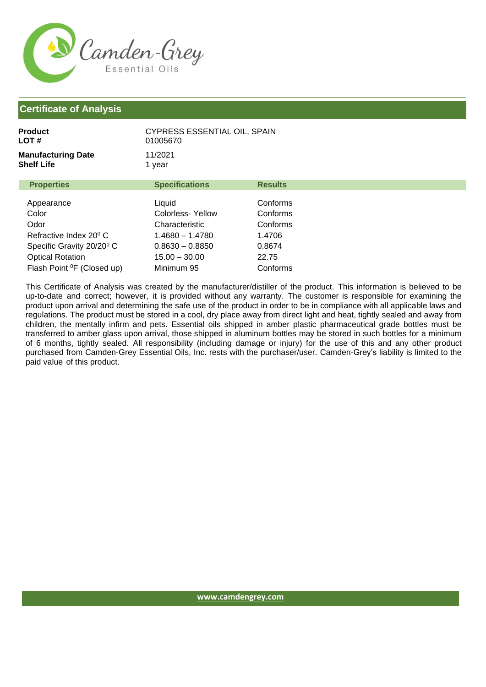

## **Certificate of Analysis**

| Product<br>LOT #                        | CYPRESS ESSENTIAL OIL, SPAIN<br>01005670 |                |  |
|-----------------------------------------|------------------------------------------|----------------|--|
| <b>Manufacturing Date</b><br>Shelf Life | 11/2021<br>1 year                        |                |  |
| <b>Properties</b>                       | <b>Specifications</b>                    | <b>Results</b> |  |
| Appearance                              | Liquid                                   | Conforms       |  |
| Color                                   | Colorless-Yellow                         | Conforms       |  |
| Odor                                    | Characteristic                           | Conforms       |  |
| Refractive Index 20 <sup>0</sup> C      | $1.4680 - 1.4780$                        | 1.4706         |  |
| Specific Gravity 20/20 <sup>0</sup> C   | $0.8630 - 0.8850$                        | 0.8674         |  |
| <b>Optical Rotation</b>                 | $15.00 - 30.00$                          | 22.75          |  |
| Flash Point <sup>o</sup> F (Closed up)  | Minimum 95                               | Conforms       |  |

This Certificate of Analysis was created by the manufacturer/distiller of the product. This information is believed to be up-to-date and correct; however, it is provided without any warranty. The customer is responsible for examining the product upon arrival and determining the safe use of the product in order to be in compliance with all applicable laws and regulations. The product must be stored in a cool, dry place away from direct light and heat, tightly sealed and away from children, the mentally infirm and pets. Essential oils shipped in amber plastic pharmaceutical grade bottles must be transferred to amber glass upon arrival, those shipped in aluminum bottles may be stored in such bottles for a minimum of 6 months, tightly sealed. All responsibility (including damage or injury) for the use of this and any other product purchased from Camden-Grey Essential Oils, Inc. rests with the purchaser/user. Camden-Grey's liability is limited to the paid value of this product.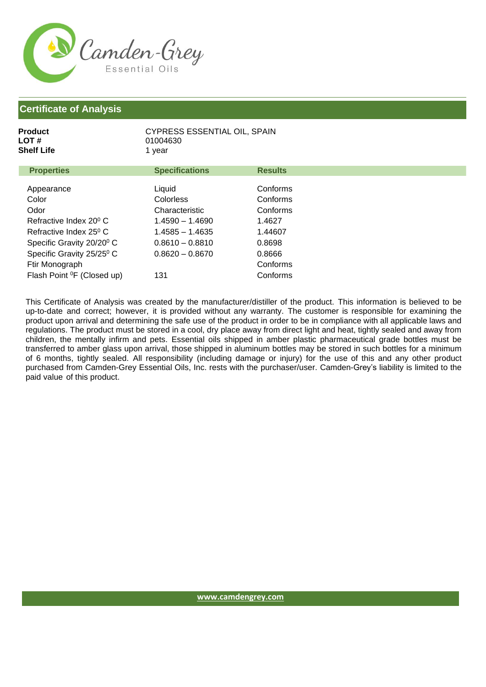

## **Certificate of Analysis**

| Product    | <b>CYPRESS ESSENTIAL OIL, SPAIN</b> |
|------------|-------------------------------------|
| LOT #      | 01004630                            |
| Shelf Life | 1 vear                              |
|            |                                     |

| <b>Properties</b>                      | <b>Specifications</b> | <b>Results</b> |
|----------------------------------------|-----------------------|----------------|
|                                        |                       |                |
| Appearance                             | Liquid                | Conforms       |
| Color                                  | <b>Colorless</b>      | Conforms       |
| Odor                                   | Characteristic        | Conforms       |
| Refractive Index 20 <sup>°</sup> C     | $1.4590 - 1.4690$     | 1.4627         |
| Refractive Index 25 <sup>0</sup> C     | $1.4585 - 1.4635$     | 1.44607        |
| Specific Gravity 20/20 <sup>0</sup> C  | $0.8610 - 0.8810$     | 0.8698         |
| Specific Gravity 25/25 <sup>0</sup> C  | $0.8620 - 0.8670$     | 0.8666         |
| Ftir Monograph                         |                       | Conforms       |
| Flash Point <sup>o</sup> F (Closed up) | 131                   | Conforms       |

This Certificate of Analysis was created by the manufacturer/distiller of the product. This information is believed to be up-to-date and correct; however, it is provided without any warranty. The customer is responsible for examining the product upon arrival and determining the safe use of the product in order to be in compliance with all applicable laws and regulations. The product must be stored in a cool, dry place away from direct light and heat, tightly sealed and away from children, the mentally infirm and pets. Essential oils shipped in amber plastic pharmaceutical grade bottles must be transferred to amber glass upon arrival, those shipped in aluminum bottles may be stored in such bottles for a minimum of 6 months, tightly sealed. All responsibility (including damage or injury) for the use of this and any other product purchased from Camden-Grey Essential Oils, Inc. rests with the purchaser/user. Camden-Grey's liability is limited to the paid value of this product.